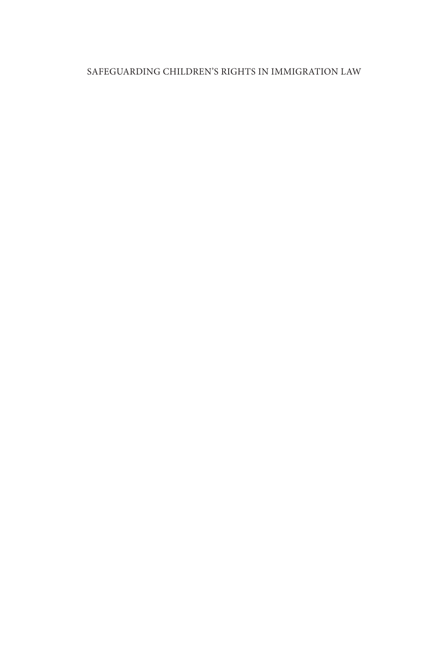## SAFEGUARDING CHILDREN'S RIGHTS IN IMMIGRATION LAW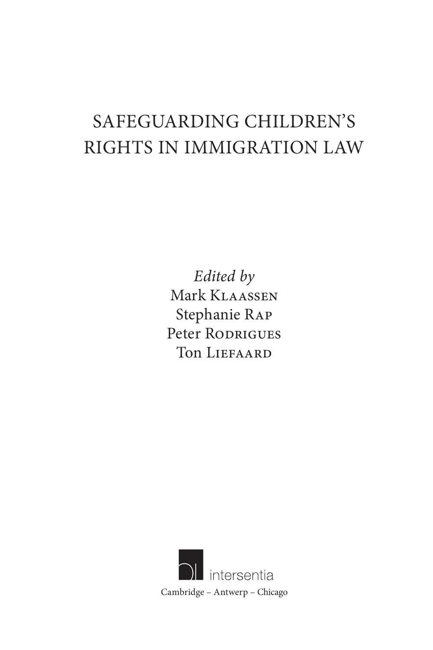# SAFEGUARDING CHILDREN'S RIGHTS IN IMMIGRATION LAW

 *Edited by*  Mark Klaassen Stephanie Rap Peter RODRIGUES Ton Liefaard

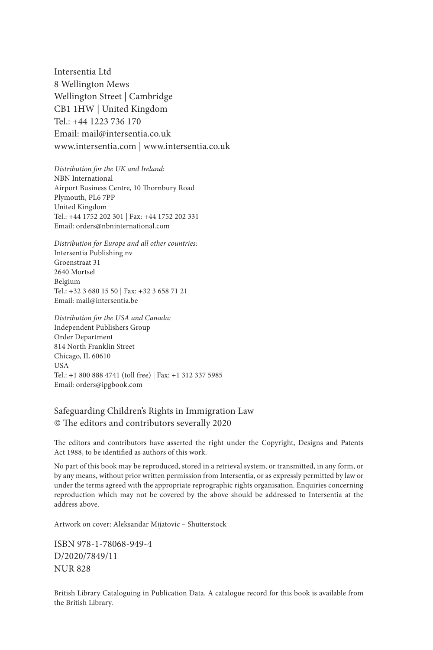Intersentia Ltd 8 Wellington Mews Wellington Street | Cambridge CB1 1HW | United Kingdom Tel.: +44 1223 736 170 Email: mail@intersentia.co.uk www.intersentia.com | www.intersentia.co.uk

*Distribution for the UK and Ireland:* NBN International Airport Business Centre, 10 Thornbury Road Plymouth, PL6 7PP United Kingdom Tel.: +44 1752 202 301 | Fax: +44 1752 202 331 Email: orders@nbninternational.com

*Distribution for Europe and all other countries:* Intersentia Publishing nv Groenstraat 31 2640 Mortsel Belgium Tel.: +32 3 680 15 50 | Fax: +32 3 658 71 21 Email: mail@intersentia.be

*Distribution for the USA and Canada:* Independent Publishers Group Order Department 814 North Franklin Street Chicago, IL 60610 **USA** Tel.: +1 800 888 4741 (toll free) | Fax: +1 312 337 5985 Email: orders@ipgbook.com

#### Safeguarding Children's Rights in Immigration Law © The editors and contributors severally 2020

The editors and contributors have asserted the right under the Copyright, Designs and Patents Act 1988, to be identified as authors of this work.

 No part of this book may be reproduced, stored in a retrieval system, or transmitted, in any form, or by any means, without prior written permission from Intersentia, or as expressly permitted by law or under the terms agreed with the appropriate reprographic rights organisation. Enquiries concerning reproduction which may not be covered by the above should be addressed to Intersentia at the address above.

Artwork on cover: Aleksandar Mijatovic – Shutterstock

 ISBN 978-1-78068-949-4 D/2020/7849/11 NUR 828

 British Library Cataloguing in Publication Data. A catalogue record for this book is available from the British Library.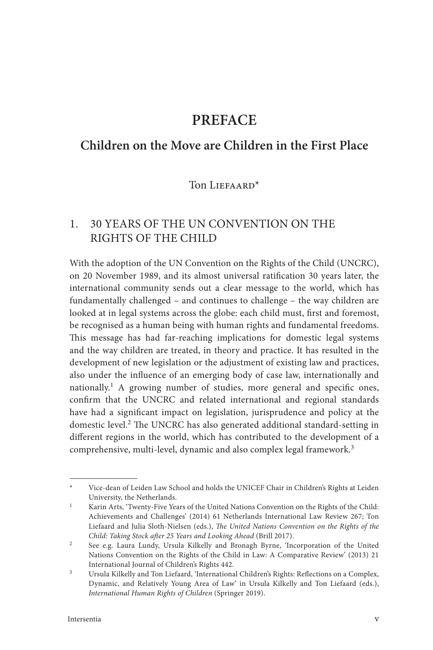## **PREFACE**

## **Children on the Move are Children in the First Place**

#### Ton LIEFAARD\*

## 1. 30 YEARS OF THE UN CONVENTION ON THE RIGHTS OF THE CHILD

 With the adoption of the UN Convention on the Rights of the Child (UNCRC), on 20 November 1989, and its almost universal ratification 30 years later, the international community sends out a clear message to the world, which has fundamentally challenged – and continues to challenge – the way children are looked at in legal systems across the globe: each child must, first and foremost, be recognised as a human being with human rights and fundamental freedoms. This message has had far-reaching implications for domestic legal systems and the way children are treated, in theory and practice. It has resulted in the development of new legislation or the adjustment of existing law and practices, also under the influence of an emerging body of case law, internationally and nationally.<sup>1</sup> A growing number of studies, more general and specific ones, confirm that the UNCRC and related international and regional standards have had a significant impact on legislation, jurisprudence and policy at the domestic level.<sup>2</sup> The UNCRC has also generated additional standard-setting in different regions in the world, which has contributed to the development of a comprehensive, multi-level, dynamic and also complex legal framework. 3

Vice-dean of Leiden Law School and holds the UNICEF Chair in Children's Rights at Leiden University, the Netherlands.<br><sup>1</sup> Karin Arts, 'Twenty-Five Years of the United Nations Convention on the Rights of the Child:

Achievements and Challenges' (2014) 61 Netherlands International Law Review 267; Ton Liefaard and Julia Sloth-Nielsen (eds.), *The United Nations Convention on the Rights of the Child: Taking Stock after 25 Years and Looking Ahead* (Brill 2017).<br><sup>2</sup> See e.g. Laura Lundy, Ursula Kilkelly and Bronagh Byrne, 'Incorporation of the United

Nations Convention on the Rights of the Child in Law: A Comparative Review' (2013) 21 International Journal of Children's Rights 442.<br><sup>3</sup> Ursula Kilkelly and Ton Liefaard, 'International Children's Rights: Reflections on a Complex,

Dynamic, and Relatively Young Area of Law ' in Ursula Kilkelly and Ton Liefaard (eds.), International Human Rights of Children (Springer 2019).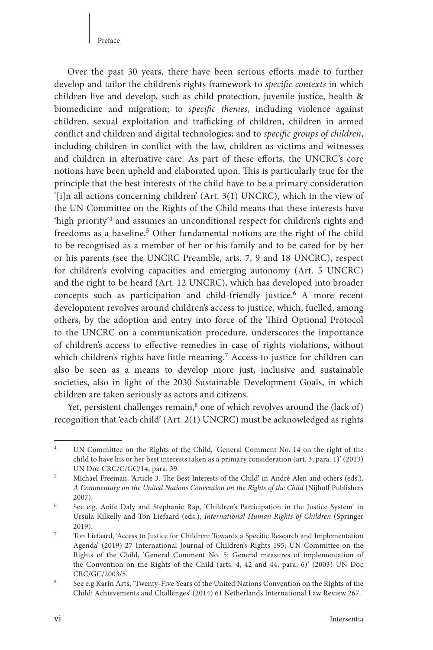Preface

Over the past 30 years, there have been serious efforts made to further develop and tailor the children's rights framework to *specific contexts* in which children live and develop, such as child protection, juvenile justice, health & biomedicine and migration; to *specific themes*, including violence against children, sexual exploitation and trafficking of children, children in armed conflict and children and digital technologies; and to *specific groups of children*, including children in conflict with the law, children as victims and witnesses and children in alternative care. As part of these efforts, the UNCRC's core notions have been upheld and elaborated upon. This is particularly true for the principle that the best interests of the child have to be a primary consideration ' $[i]$ n all actions concerning children' (Art. 3(1) UNCRC), which in the view of the UN Committee on the Rights of the Child means that these interests have 'high priority'<sup>4</sup> and assumes an unconditional respect for children's rights and freedoms as a baseline.<sup>5</sup> Other fundamental notions are the right of the child to be recognised as a member of her or his family and to be cared for by her or his parents (see the UNCRC Preamble, arts. 7, 9 and 18 UNCRC), respect for children's evolving capacities and emerging autonomy (Art. 5 UNCRC) and the right to be heard (Art. 12 UNCRC), which has developed into broader concepts such as participation and child-friendly justice.<sup>6</sup> A more recent development revolves around children's access to justice, which, fuelled, among others, by the adoption and entry into force of the Third Optional Protocol to the UNCRC on a communication procedure, underscores the importance of children's access to effective remedies in case of rights violations, without which children's rights have little meaning.<sup>7</sup> Access to justice for children can also be seen as a means to develop more just, inclusive and sustainable societies, also in light of the 2030 Sustainable Development Goals, in which children are taken seriously as actors and citizens.

Yet, persistent challenges remain,<sup>8</sup> one of which revolves around the (lack of) recognition that 'each child' (Art.  $2(1)$  UNCRC) must be acknowledged as rights

<sup>&</sup>lt;sup>4</sup> UN Committee on the Rights of the Child, 'General Comment No. 14 on the right of the child to have his or her best interests taken as a primary consideration (art. 3, para. 1)' (2013) UN Doc CRC/C/GC/14, para. 39.

<sup>&</sup>lt;sup>5</sup> Michael Freeman, 'Article 3. The Best Interests of the Child' in André Alen and others (eds.), *A Commentary on the United Nations Convention on the Rights of the Child* ( Nijhoff Publishers 2007).<br>
<sup>6</sup> See e.g. Aoife Daly and Stephanie Rap, 'Children's Participation in the Justice System' in

Ursula Kilkelly and Ton Liefaard (eds.), *International Human Rights of Children* ( Springer

<sup>2019).&</sup>lt;br><sup>7</sup> Ton Liefaard, 'Access to Justice for Children: Towards a Specific Research and Implementation Agenda' (2019) 27 International Journal of Children's Rights 195; UN Committee on the Rights of the Child, 'General Comment No. 5: General measures of implementation of the Convention on the Rights of the Child (arts. 4, 42 and 44, para. 6)' (2003) UN Doc

CRC/GC/2003/5.<br><sup>8</sup> See e.g Karin Arts, 'Twenty-Five Years of the United Nations Convention on the Rights of the Child: Achievements and Challenges ' ( 2014 ) 61 Netherlands International Law Review 267 .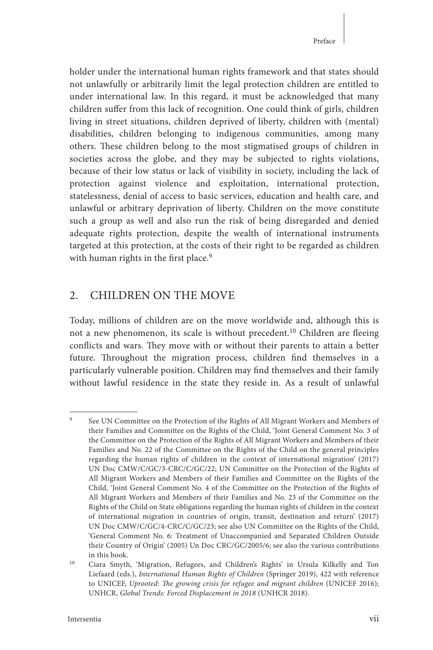holder under the international human rights framework and that states should not unlawfully or arbitrarily limit the legal protection children are entitled to under international law. In this regard, it must be acknowledged that many children suffer from this lack of recognition. One could think of girls, children living in street situations, children deprived of liberty, children with (mental) disabilities, children belonging to indigenous communities, among many others. Th ese children belong to the most stigmatised groups of children in societies across the globe, and they may be subjected to rights violations, because of their low status or lack of visibility in society, including the lack of protection against violence and exploitation, international protection, statelessness, denial of access to basic services, education and health care, and unlawful or arbitrary deprivation of liberty. Children on the move constitute such a group as well and also run the risk of being disregarded and denied adequate rights protection, despite the wealth of international instruments targeted at this protection, at the costs of their right to be regarded as children with human rights in the first place.<sup>9</sup>

### 2. CHILDREN ON THE MOVE

 Today, millions of children are on the move worldwide and, although this is not a new phenomenon, its scale is without precedent.<sup>10</sup> Children are fleeing conflicts and wars. They move with or without their parents to attain a better future. Throughout the migration process, children find themselves in a particularly vulnerable position. Children may find themselves and their family without lawful residence in the state they reside in. As a result of unlawful

<sup>9</sup> See UN Committee on the Protection of the Rights of All Migrant Workers and Members of their Families and Committee on the Rights of the Child, ' Joint General Comment No. 3 of the Committee on the Protection of the Rights of All Migrant Workers and Members of their Families and No. 22 of the Committee on the Rights of the Child on the general principles regarding the human rights of children in the context of international migration ' (2017) UN Doc CMW/C/GC/3-CRC/C/GC/22; UN Committee on the Protection of the Rights of All Migrant Workers and Members of their Families and Committee on the Rights of the Child, 'Joint General Comment No. 4 of the Committee on the Protection of the Rights of All Migrant Workers and Members of their Families and No. 23 of the Committee on the Rights of the Child on State obligations regarding the human rights of children in the context of international migration in countries of origin, transit, destination and return ' (2017) UN Doc CMW/C/GC/4-CRC/C/GC/23; see also UN Committee on the Rights of the Child, ' General Comment No. 6: Treatment of Unaccompanied and Separated Children Outside their Country of Origin' (2005) Un Doc CRC/GC/2005/6; see also the various contributions in this book.<br><sup>10</sup> Ciara Smyth, 'Migration, Refugees, and Children's Rights' in Ursula Kilkelly and Ton

Liefaard (eds.), *International Human Rights of Children* (Springer 2019), 422 with reference to UNICEF, *Uprooted: The growing crisis for refugee and migrant children* (UNICEF 2016); UNHCR , *Global Trends: Forced Displacement in 2018* ( UNHCR 2018 ) .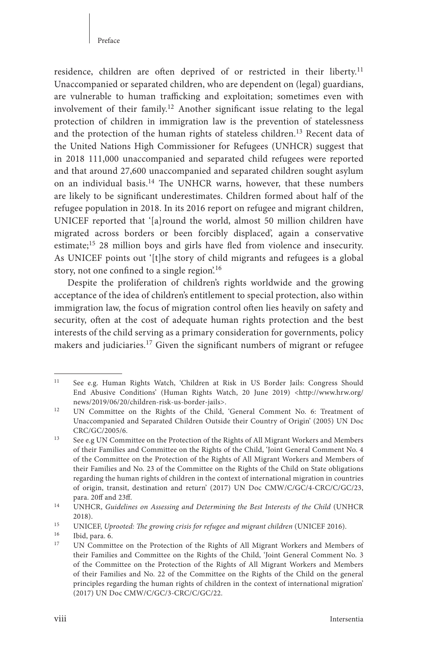residence, children are often deprived of or restricted in their liberty.<sup>11</sup> Unaccompanied or separated children, who are dependent on (legal) guardians, are vulnerable to human trafficking and exploitation; sometimes even with involvement of their family.<sup>12</sup> Another significant issue relating to the legal protection of children in immigration law is the prevention of statelessness and the protection of the human rights of stateless children.<sup>13</sup> Recent data of the United Nations High Commissioner for Refugees (UNHCR) suggest that in 2018 111,000 unaccompanied and separated child refugees were reported and that around 27,600 unaccompanied and separated children sought asylum on an individual basis.<sup>14</sup> The UNHCR warns, however, that these numbers are likely to be significant underestimates. Children formed about half of the refugee population in 2018. In its 2016 report on refugee and migrant children, UNICEF reported that '[a]round the world, almost 50 million children have migrated across borders or been forcibly displaced', again a conservative estimate;  $15$  28 million boys and girls have fled from violence and insecurity. As UNICEF points out '[t]he story of child migrants and refugees is a global story, not one confined to a single region.<sup>16</sup>

Despite the proliferation of children's rights worldwide and the growing acceptance of the idea of children's entitlement to special protection, also within immigration law, the focus of migration control often lies heavily on safety and security, often at the cost of adequate human rights protection and the best interests of the child serving as a primary consideration for governments, policy makers and judiciaries.<sup>17</sup> Given the significant numbers of migrant or refugee

<sup>&</sup>lt;sup>11</sup> See e.g. Human Rights Watch, 'Children at Risk in US Border Jails: Congress Should End Abusive Conditions' (Human Rights Watch, 20 June 2019) <http://www.hrw.org/ news/2019/06/20/children-risk-us-border-jails >.<br><sup>12</sup> UN Committee on the Rights of the Child, 'General Comment No. 6: Treatment of

Unaccompanied and Separated Children Outside their Country of Origin ' (2005) UN Doc CRC/GC/2005/6. 13 See e.g UN Committee on the Protection of the Rights of All Migrant Workers and Members

of their Families and Committee on the Rights of the Child, 'Joint General Comment No. 4 of the Committee on the Protection of the Rights of All Migrant Workers and Members of their Families and No. 23 of the Committee on the Rights of the Child on State obligations regarding the human rights of children in the context of international migration in countries of origin, transit, destination and return' (2017) UN Doc CMW/C/GC/4-CRC/C/GC/23, para. 20ff and 23ff.<br><sup>14</sup> UNHCR, *Guidelines on Assessing and Determining the Best Interests of the Child* (UNHCR

<sup>2018).&</sup>lt;br>
<sup>15</sup> UNICEF, *Uprooted: The growing crisis for refugee and migrant children* (UNICEF 2016).<br>
<sup>16</sup> Ibid, para. 6.<br>
<sup>17</sup> UN Committee on the Protection of the Pichts of All Micront Workers and Momba

<sup>17</sup> UN Committee on the Protection of the Rights of All Migrant Workers and Members of their Families and Committee on the Rights of the Child, 'Joint General Comment No. 3 of the Committee on the Protection of the Rights of All Migrant Workers and Members of their Families and No. 22 of the Committee on the Rights of the Child on the general principles regarding the human rights of children in the context of international migration' (2017) UN Doc CMW/C/GC/3-CRC/C/GC/22.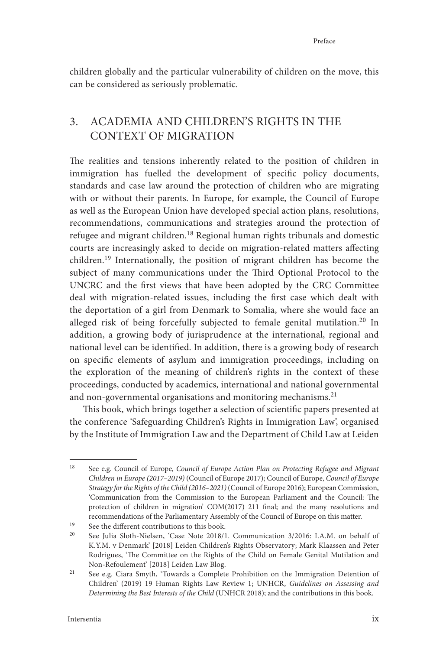children globally and the particular vulnerability of children on the move, this can be considered as seriously problematic.

## 3. ACADEMIA AND CHILDREN'S RIGHTS IN THE CONTEXT OF MIGRATION

The realities and tensions inherently related to the position of children in immigration has fuelled the development of specific policy documents, standards and case law around the protection of children who are migrating with or without their parents. In Europe, for example, the Council of Europe as well as the European Union have developed special action plans, resolutions, recommendations, communications and strategies around the protection of refugee and migrant children. 18 Regional human rights tribunals and domestic courts are increasingly asked to decide on migration-related matters affecting children. 19 Internationally, the position of migrant children has become the subject of many communications under the Third Optional Protocol to the UNCRC and the first views that have been adopted by the CRC Committee deal with migration-related issues, including the first case which dealt with the deportation of a girl from Denmark to Somalia, where she would face an alleged risk of being forcefully subjected to female genital mutilation.<sup>20</sup> In addition, a growing body of jurisprudence at the international, regional and national level can be identified. In addition, there is a growing body of research on specific elements of asylum and immigration proceedings, including on the exploration of the meaning of children's rights in the context of these proceedings, conducted by academics, international and national governmental and non-governmental organisations and monitoring mechanisms.<sup>21</sup>

This book, which brings together a selection of scientific papers presented at the conference 'Safeguarding Children's Rights in Immigration Law', organised by the Institute of Immigration Law and the Department of Child Law at Leiden

<sup>18</sup> See e.g. Council of Europe , *Council of Europe Action Plan on Protecting Refugee and Migrant Children in Europe (2017-2019)* (Council of Europe 2017); Council of Europe, *Council of Europe Strategy for the Rights of the Child (2016-2021)* (Council of Europe 2016); European Commission, 'Communication from the Commission to the European Parliament and the Council: The protection of children in migration' COM(2017) 211 final; and the many resolutions and recommendations of the Parliamentary Assembly of the Council of Europe on this matter.<br>
<sup>19</sup> See the different contributions to this book.<br>
<sup>20</sup> See Julia Sloth-Nielsen, 'Case Note 2018/1. Communication 3/2016: I.A.M. on b

K.Y.M. v Denmark' [2018] Leiden Children's Rights Observatory; Mark Klaassen and Peter Rodrigues, 'The Committee on the Rights of the Child on Female Genital Mutilation and Non-Refoulement' [2018] Leiden Law Blog.<br><sup>21</sup> See e.g. Ciara Smyth, 'Towards a Complete Prohibition on the Immigration Detention of

Children' (2019) 19 Human Rights Law Review 1; UNHCR, *Guidelines on Assessing and Determining the Best Interests of the Child* (UNHCR 2018); and the contributions in this book.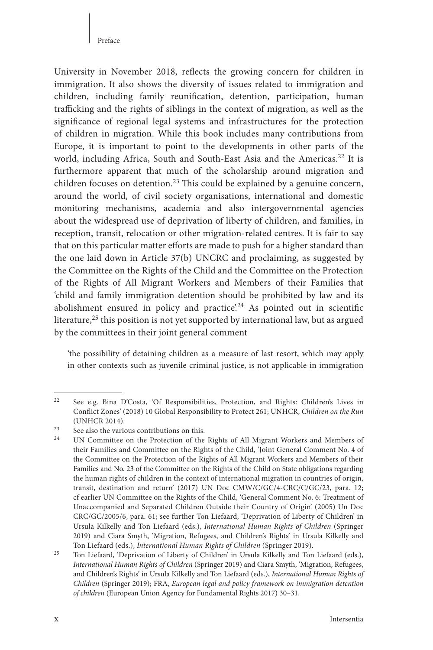University in November 2018, reflects the growing concern for children in immigration. It also shows the diversity of issues related to immigration and children, including family reunification, detention, participation, human trafficking and the rights of siblings in the context of migration, as well as the significance of regional legal systems and infrastructures for the protection of children in migration. While this book includes many contributions from Europe, it is important to point to the developments in other parts of the world, including Africa, South and South-East Asia and the Americas.<sup>22</sup> It is furthermore apparent that much of the scholarship around migration and children focuses on detention.<sup>23</sup> This could be explained by a genuine concern, around the world, of civil society organisations, international and domestic monitoring mechanisms, academia and also intergovernmental agencies about the widespread use of deprivation of liberty of children, and families, in reception, transit, relocation or other migration-related centres. It is fair to say that on this particular matter efforts are made to push for a higher standard than the one laid down in Article 37(b) UNCRC and proclaiming, as suggested by the Committee on the Rights of the Child and the Committee on the Protection of the Rights of All Migrant Workers and Members of their Families that ' child and family immigration detention should be prohibited by law and its abolishment ensured in policy and practice.<sup>24</sup> As pointed out in scientific literature,  $25$  this position is not yet supported by international law, but as argued by the committees in their joint general comment

 ' the possibility of detaining children as a measure of last resort, which may apply in other contexts such as juvenile criminal justice, is not applicable in immigration

<sup>&</sup>lt;sup>22</sup> See e.g. Bina D'Costa, 'Of Responsibilities, Protection, and Rights: Children's Lives in Conflict Zones' (2018) 10 Global Responsibility to Protect 261; UNHCR, *Children on the Run* 

<sup>(</sup> UNHCR 2014 ).<br>
<sup>23</sup> See also the various contributions on this.<br>
<sup>24</sup> UNL Committee on the Protection of the

UN Committee on the Protection of the Rights of All Migrant Workers and Members of their Families and Committee on the Rights of the Child, 'Joint General Comment No. 4 of the Committee on the Protection of the Rights of All Migrant Workers and Members of their Families and No. 23 of the Committee on the Rights of the Child on State obligations regarding the human rights of children in the context of international migration in countries of origin, transit, destination and return' (2017) UN Doc CMW/C/GC/4-CRC/C/GC/23, para. 12; cf earlier UN Committee on the Rights of the Child, ' General Comment No. 6: Treatment of Unaccompanied and Separated Children Outside their Country of Origin ' (2005) Un Doc CRC/GC/2005/6, para. 61; see further Ton Liefaard, 'Deprivation of Liberty of Children' in Ursula Kilkelly and Ton Liefaard (eds.), *International Human Rights of Children* ( Springer 2019) and Ciara Smyth, 'Migration, Refugees, and Children's Rights' in Ursula Kilkelly and Ton Liefaard (eds.), *International Human Rights of Children* (Springer 2019).<br><sup>25</sup> Ton Liefaard, 'Deprivation of Liberty of Children' in Ursula Kilkelly and Ton Liefaard (eds.),

*International Human Rights of Children* (Springer 2019) and Ciara Smyth, 'Migration, Refugees, and Children's Rights' in Ursula Kilkelly and Ton Liefaard (eds.), *International Human Rights of Children* (Springer 2019); FRA, *European legal and policy framework on immigration detention of children* (European Union Agency for Fundamental Rights 2017) 30-31.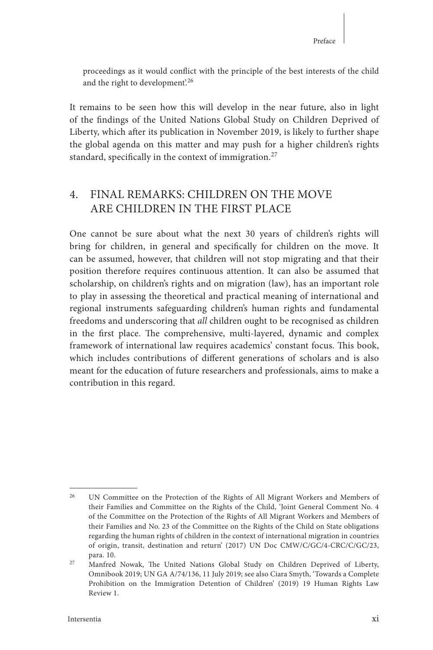proceedings as it would conflict with the principle of the best interests of the child and the right to development'.<sup>26</sup>

 It remains to be seen how this will develop in the near future, also in light of the findings of the United Nations Global Study on Children Deprived of Liberty, which after its publication in November 2019, is likely to further shape the global agenda on this matter and may push for a higher children's rights standard, specifically in the context of immigration.<sup>27</sup>

## 4. FINAL REMARKS: CHILDREN ON THE MOVE ARE CHILDREN IN THE FIRST PLACE

One cannot be sure about what the next 30 years of children's rights will bring for children, in general and specifically for children on the move. It can be assumed, however, that children will not stop migrating and that their position therefore requires continuous attention. It can also be assumed that scholarship, on children's rights and on migration (law), has an important role to play in assessing the theoretical and practical meaning of international and regional instruments safeguarding children's human rights and fundamental freedoms and underscoring that *all* children ought to be recognised as children in the first place. The comprehensive, multi-layered, dynamic and complex framework of international law requires academics' constant focus. This book, which includes contributions of different generations of scholars and is also meant for the education of future researchers and professionals, aims to make a contribution in this regard.

<sup>&</sup>lt;sup>26</sup> UN Committee on the Protection of the Rights of All Migrant Workers and Members of their Families and Committee on the Rights of the Child, 'Joint General Comment No. 4 of the Committee on the Protection of the Rights of All Migrant Workers and Members of their Families and No. 23 of the Committee on the Rights of the Child on State obligations regarding the human rights of children in the context of international migration in countries of origin, transit, destination and return' (2017) UN Doc CMW/C/GC/4-CRC/C/GC/23, para. 10. 27 Manfred Nowak, The United Nations Global Study on Children Deprived of Liberty,

Omnibook 2019; UN GA A/74/136, 11 July 2019; see also Ciara Smyth , ' Towards a Complete Prohibition on the Immigration Detention of Children' (2019) 19 Human Rights Law Review 1.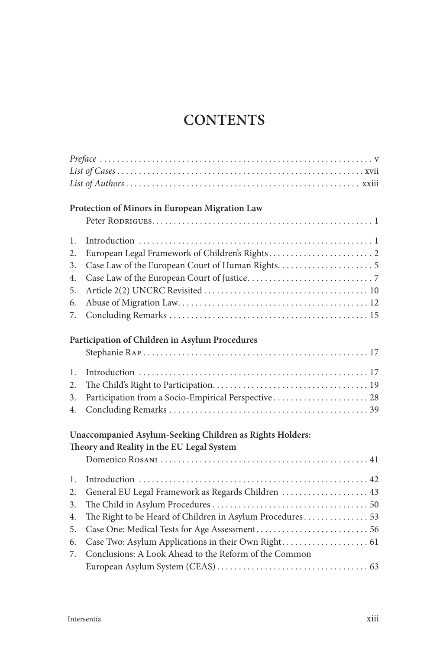## **CONTENTS**

|    | Protection of Minors in European Migration Law            |
|----|-----------------------------------------------------------|
|    |                                                           |
| 1. |                                                           |
| 2. |                                                           |
| 3. | Case Law of the European Court of Human Rights 5          |
| 4. |                                                           |
| 5. |                                                           |
| 6. |                                                           |
| 7. |                                                           |
|    |                                                           |
|    | Participation of Children in Asylum Procedures            |
|    |                                                           |
| 1. |                                                           |
| 2. |                                                           |
| 3. | Participation from a Socio-Empirical Perspective 28       |
| 4. |                                                           |
|    |                                                           |
|    | Unaccompanied Asylum-Seeking Children as Rights Holders:  |
|    | Theory and Reality in the EU Legal System                 |
|    |                                                           |
| 1. |                                                           |
| 2. | General EU Legal Framework as Regards Children  43        |
| 3. |                                                           |
| 4. | The Right to be Heard of Children in Asylum Procedures 53 |
| 5. |                                                           |
| 6. |                                                           |
| 7. | Conclusions: A Look Ahead to the Reform of the Common     |
|    |                                                           |
|    |                                                           |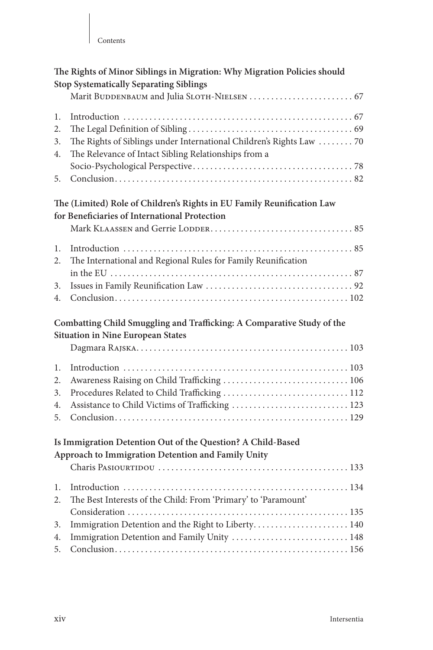|                            | The Rights of Minor Siblings in Migration: Why Migration Policies should<br><b>Stop Systematically Separating Siblings</b>                     |
|----------------------------|------------------------------------------------------------------------------------------------------------------------------------------------|
|                            |                                                                                                                                                |
| 1.<br>2.<br>3.             | The Rights of Siblings under International Children's Rights Law  70                                                                           |
| 4.<br>5.                   | The Relevance of Intact Sibling Relationships from a                                                                                           |
|                            | The (Limited) Role of Children's Rights in EU Family Reunification Law<br>for Beneficiaries of International Protection                        |
|                            |                                                                                                                                                |
| 1.                         |                                                                                                                                                |
| 2.<br>3.<br>4.             | The International and Regional Rules for Family Reunification                                                                                  |
|                            |                                                                                                                                                |
|                            | Combatting Child Smuggling and Trafficking: A Comparative Study of the                                                                         |
|                            | Situation in Nine European States                                                                                                              |
| 1.<br>2.<br>3.<br>4.<br>5. | Awareness Raising on Child Trafficking  106<br>Procedures Related to Child Trafficking  112<br>Assistance to Child Victims of Trafficking  123 |
|                            | Is Immigration Detention Out of the Question? A Child-Based<br>Approach to Immigration Detention and Family Unity                              |
|                            |                                                                                                                                                |
| 1.<br>2.                   | The Best Interests of the Child: From 'Primary' to 'Paramount'                                                                                 |
| 3.                         | Immigration Detention and the Right to Liberty 140                                                                                             |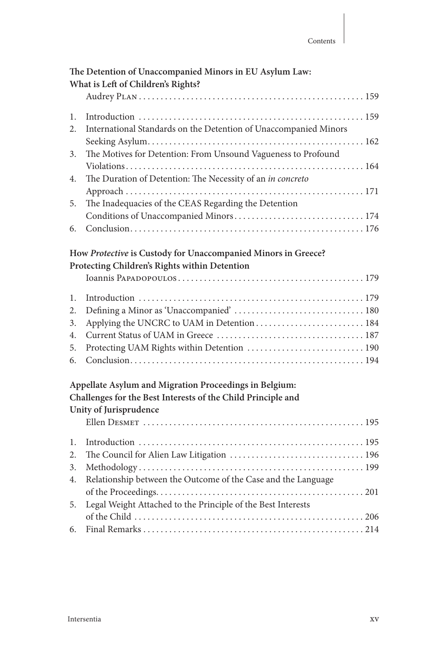## The Detention of Unaccompanied Minors in EU Asylum Law: **What is Left of Children's Rights?** Audrey Plan . . . . . . . . . . . . . . . . . . . . . . . . . . . . . . . . . . . . . . . . . . . . . . . . . . . . 159 1. Introduction . . . . . . . . . . . . . . . . . . . . . . . . . . . . . . . . . . . . . . . . . . . . . . . . . . . . 159

| 2. International Standards on the Detention of Unaccompanied Minors |
|---------------------------------------------------------------------|
|                                                                     |
| 3. The Motives for Detention: From Unsound Vagueness to Profound    |
|                                                                     |
| 4. The Duration of Detention: The Necessity of an in concreto       |
|                                                                     |
| 5. The Inadequacies of the CEAS Regarding the Detention             |
| Conditions of Unaccompanied Minors 174                              |
|                                                                     |

#### **How** *Protective* **is Custody for Unaccompanied Minors in Greece? Protecting Children's Rights within Detention**

| 5. Protecting UAM Rights within Detention  190 |
|------------------------------------------------|
|                                                |

### **Appellate Asylum and Migration Proceedings in Belgium: Challenges for the Best Interests of the Child Principle and Unity of Jurisprudence**

| 4. Relationship between the Outcome of the Case and the Language |
|------------------------------------------------------------------|
|                                                                  |
| 5. Legal Weight Attached to the Principle of the Best Interests  |
|                                                                  |
|                                                                  |
|                                                                  |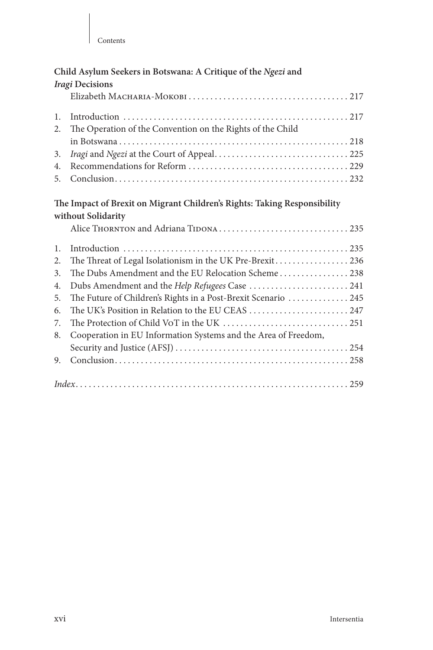| contents |
|----------|
|----------|

|    | Child Asylum Seekers in Botswana: A Critique of the Ngezi and<br><b>Iragi Decisions</b>        |
|----|------------------------------------------------------------------------------------------------|
|    |                                                                                                |
| 1. |                                                                                                |
| 2. | The Operation of the Convention on the Rights of the Child                                     |
|    |                                                                                                |
| 3. |                                                                                                |
| 4. |                                                                                                |
| 5. |                                                                                                |
|    | The Impact of Brexit on Migrant Children's Rights: Taking Responsibility<br>without Solidarity |
|    |                                                                                                |
| 1. |                                                                                                |
| 2. |                                                                                                |
| 3. | The Dubs Amendment and the EU Relocation Scheme 238                                            |
| 4. | Dubs Amendment and the Help Refugees Case  241                                                 |
| 5. | The Future of Children's Rights in a Post-Brexit Scenario  245                                 |
| 6. | The UK's Position in Relation to the EU CEAS  247                                              |
| 7. |                                                                                                |
| 8. | Cooperation in EU Information Systems and the Area of Freedom,                                 |
|    |                                                                                                |
| 9. |                                                                                                |
|    |                                                                                                |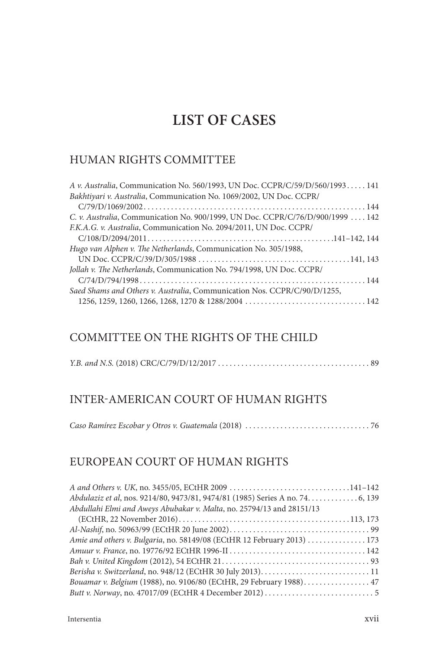## **LIST OF CASES**

## HUMAN RIGHTS COMMITTEE

| A v. Australia, Communication No. 560/1993, UN Doc. CCPR/C/59/D/560/1993 141    |
|---------------------------------------------------------------------------------|
| Bakhtiyari v. Australia, Communication No. 1069/2002, UN Doc. CCPR/             |
|                                                                                 |
| C. v. Australia, Communication No. 900/1999, UN Doc. CCPR/C/76/D/900/1999 $142$ |
| <i>F.K.A.G. v. Australia, Communication No. 2094/2011, UN Doc. CCPR/</i>        |
|                                                                                 |
| Hugo van Alphen v. The Netherlands, Communication No. 305/1988,                 |
|                                                                                 |
| Jollah v. The Netherlands, Communication No. 794/1998, UN Doc. CCPR/            |
|                                                                                 |
| Saed Shams and Others v. Australia, Communication Nos. CCPR/C/90/D/1255,        |
|                                                                                 |

#### COMMITTEE ON THE RIGHTS OF THE CHILD

*Y.B. and N.S.* (2018) CRC/C/79/D/12/2017 . . . . . . . . . . . . . . . . . . . . . . . . . . . . . . . . . . . . . . . 89

## INTER-AMERICAN COURT OF HUMAN RIGHTS

|--|--|--|--|

## EUROPEAN COURT OF HUMAN RIGHTS

| Abdullahi Elmi and Aweys Abubakar v. Malta, no. 25794/13 and 28151/13  |  |
|------------------------------------------------------------------------|--|
|                                                                        |  |
|                                                                        |  |
| Amie and others v. Bulgaria, no. 58149/08 (ECtHR 12 February 2013) 173 |  |
|                                                                        |  |
|                                                                        |  |
|                                                                        |  |
| Bouamar v. Belgium (1988), no. 9106/80 (ECtHR, 29 February 1988). 47   |  |
|                                                                        |  |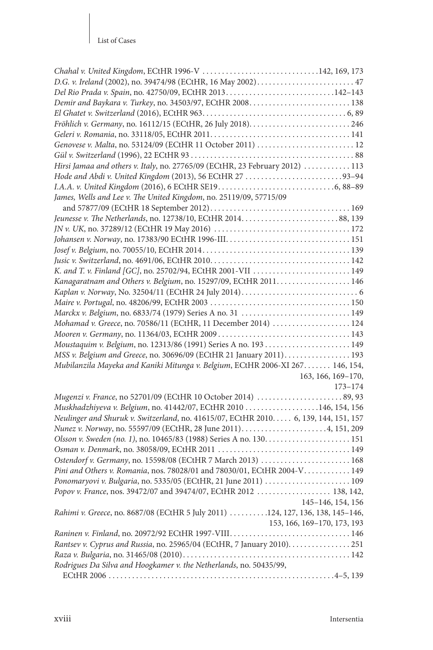| Chahal v. United Kingdom, ECtHR 1996-V 142, 169, 173                                 |                             |
|--------------------------------------------------------------------------------------|-----------------------------|
|                                                                                      |                             |
|                                                                                      |                             |
|                                                                                      |                             |
|                                                                                      |                             |
|                                                                                      |                             |
|                                                                                      |                             |
| Genovese v. Malta, no. 53124/09 (ECtHR 11 October 2011)  12                          |                             |
|                                                                                      |                             |
| Hirsi Jamaa and others v. Italy, no. 27765/09 (ECtHR, 23 February 2012)  113         |                             |
| Hode and Abdi v. United Kingdom (2013), 56 ECtHR 27 93-94                            |                             |
|                                                                                      |                             |
| James, Wells and Lee v. The United Kingdom, no. 25119/09, 57715/09                   |                             |
|                                                                                      |                             |
|                                                                                      |                             |
|                                                                                      |                             |
|                                                                                      |                             |
|                                                                                      |                             |
|                                                                                      |                             |
| K. and T. v. Finland [GC], no. 25702/94, ECtHR 2001-VII  149                         |                             |
| Kanagaratnam and Others v. Belgium, no. 15297/09, ECtHR 2011. 146                    |                             |
|                                                                                      |                             |
|                                                                                      |                             |
| Marckx v. Belgium, no. 6833/74 (1979) Series A no. 31  149                           |                             |
| Mohamad v. Greece, no. 70586/11 (ECtHR, 11 December 2014)  124                       |                             |
|                                                                                      |                             |
|                                                                                      |                             |
| MSS v. Belgium and Greece, no. 30696/09 (ECtHR 21 January 2011). 193                 |                             |
| Mubilanzila Mayeka and Kaniki Mitunga v. Belgium, ECtHR 2006-XI 267. 146, 154,       |                             |
|                                                                                      | 163, 166, 169-170,          |
|                                                                                      | $173 - 174$                 |
| Mugenzi v. France, no 52701/09 (ECtHR 10 October 2014) 89, 93                        |                             |
| Muskhadzhiyeva v. Belgium, no. 41442/07, ECtHR 2010 146, 154, 156                    |                             |
| Neulinger and Shuruk v. Switzerland, no. 41615/07, ECtHR 2010. 6, 139, 144, 151, 157 |                             |
|                                                                                      |                             |
|                                                                                      |                             |
|                                                                                      |                             |
| Ostendorf v. Germany, no. 15598/08 (ECtHR 7 March 2013)  168                         |                             |
| Pini and Others v. Romania, nos. 78028/01 and 78030/01, ECtHR 2004-V 149             |                             |
|                                                                                      |                             |
| Popov v. France, nos. 39472/07 and 39474/07, ECtHR 2012  138, 142,                   |                             |
|                                                                                      | 145–146, 154, 156           |
| Rahimi v. Greece, no. 8687/08 (ECtHR 5 July 2011) 124, 127, 136, 138, 145-146,       |                             |
|                                                                                      | 153, 166, 169–170, 173, 193 |
|                                                                                      |                             |
| Rantsev v. Cyprus and Russia, no. 25965/04 (ECtHR, 7 January 2010). 251              |                             |
|                                                                                      |                             |
| Rodrigues Da Silva and Hoogkamer v. the Netherlands, no. 50435/99,                   |                             |
|                                                                                      |                             |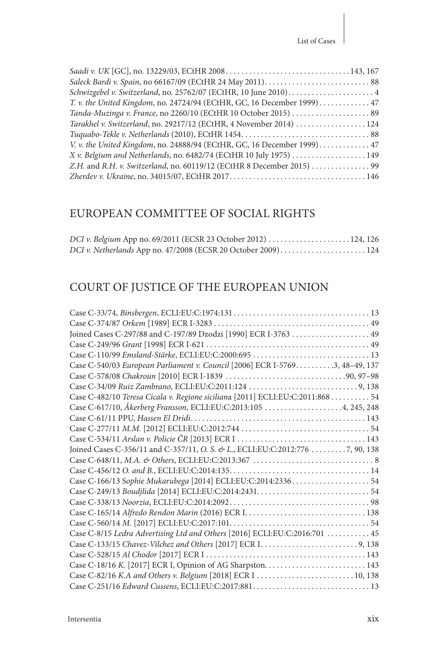| T. v. the United Kingdom, no. 24724/94 (ECtHR, GC, 16 December 1999) 47 |
|-------------------------------------------------------------------------|
|                                                                         |
| Tarakhel v. Switzerland, no. 29217/12 (ECtHR, 4 November 2014) 124      |
|                                                                         |
| V. v. the United Kingdom, no. 24888/94 (ECtHR, GC, 16 December 1999) 47 |
|                                                                         |
| Z.H. and R.H. v. Switzerland, no. 60119/12 (ECtHR 8 December 2015) 99   |
|                                                                         |

## EUROPEAN COMMITTEE OF SOCIAL RIGHTS

## COURT OF JUSTICE OF THE EUROPEAN UNION

| Joined Cases C-297/88 and C-197/89 Dzodzi [1990] ECR I-3763  49               |  |
|-------------------------------------------------------------------------------|--|
|                                                                               |  |
|                                                                               |  |
| Case C-540/03 European Parliament v. Council [2006] ECR I-57693, 48-49, 137   |  |
|                                                                               |  |
|                                                                               |  |
| Case C-482/10 Teresa Cicala v. Regione siciliana [2011] ECLI:EU:C:2011:868 54 |  |
| Case C-617/10, Åkerberg Fransson, ECLI:EU:C:2013:105 4, 245, 248              |  |
|                                                                               |  |
|                                                                               |  |
|                                                                               |  |
| Joined Cases C-356/11 and C-357/11, O. S. & L., ECLI:EU:C:2012:776 7, 90, 138 |  |
|                                                                               |  |
|                                                                               |  |
| Case C-166/13 Sophie Mukarubega [2014] ECLI:EU:C:2014:233654                  |  |
|                                                                               |  |
|                                                                               |  |
|                                                                               |  |
|                                                                               |  |
| Case C-8/15 Ledra Advertising Ltd and Others [2016] ECLI:EU:C:2016:701  45    |  |
|                                                                               |  |
|                                                                               |  |
|                                                                               |  |
| Case C-82/16 K.A and Others v. Belgium [2018] ECR I 10, 138                   |  |
|                                                                               |  |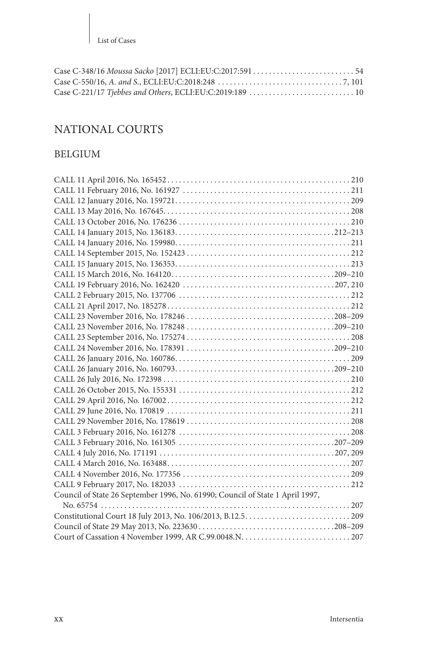List of Cases

## NATIONAL COURTS

## BELGIUM

| Council of State 26 September 1996, No. 61990; Council of State 1 April 1997, |  |
|-------------------------------------------------------------------------------|--|
|                                                                               |  |
|                                                                               |  |
|                                                                               |  |
|                                                                               |  |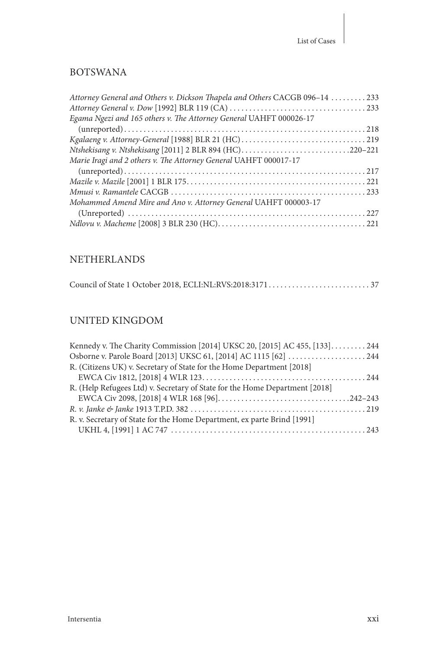## BOTSWANA

| Attorney General and Others v. Dickson Thapela and Others CACGB 096-14 233 |
|----------------------------------------------------------------------------|
|                                                                            |
|                                                                            |
|                                                                            |
|                                                                            |
| Ntshekisang v. Ntshekisang [2011] 2 BLR 894 (HC)220-221                    |
|                                                                            |
|                                                                            |
|                                                                            |
|                                                                            |
|                                                                            |
|                                                                            |
|                                                                            |
|                                                                            |

### NETHERLANDS

|--|

## UNITED KINGDOM

| Kennedy v. The Charity Commission [2014] UKSC 20, [2015] AC 455, [133]244   |  |
|-----------------------------------------------------------------------------|--|
|                                                                             |  |
| R. (Citizens UK) v. Secretary of State for the Home Department [2018]       |  |
|                                                                             |  |
| R. (Help Refugees Ltd) v. Secretary of State for the Home Department [2018] |  |
|                                                                             |  |
|                                                                             |  |
| R. v. Secretary of State for the Home Department, ex parte Brind [1991]     |  |
|                                                                             |  |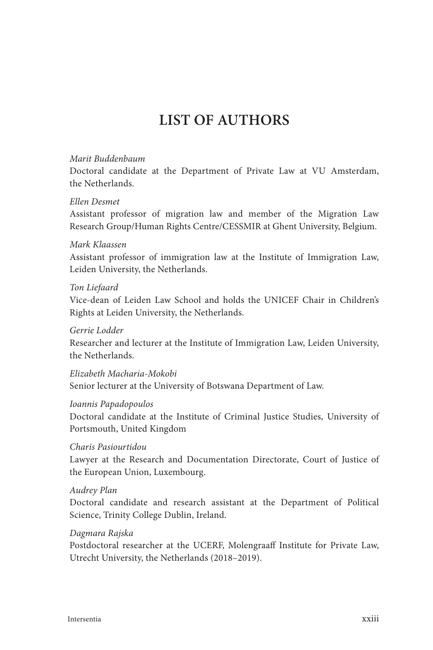## **LIST OF AUTHORS**

#### *Marit Buddenbaum*

 Doctoral candidate at the Department of Private Law at VU Amsterdam, the Netherlands.

#### *Ellen Desmet*

 Assistant professor of migration law and member of the Migration Law Research Group/Human Rights Centre/CESSMIR at Ghent University, Belgium.

#### *Mark Klaassen*

 Assistant professor of immigration law at the Institute of Immigration Law, Leiden University, the Netherlands.

#### *Ton Liefaard*

Vice-dean of Leiden Law School and holds the UNICEF Chair in Children's Rights at Leiden University, the Netherlands.

#### *Gerrie Lodder*

 Researcher and lecturer at the Institute of Immigration Law, Leiden University, the Netherlands.

#### *Elizabeth Macharia-Mokobi*

Senior lecturer at the University of Botswana Department of Law.

#### *Ioannis Papadopoulos*

 Doctoral candidate at the Institute of Criminal Justice Studies, University of Portsmouth, United Kingdom

#### *Charis Pasiourtidou*

 Lawyer at the Research and Documentation Directorate, Court of Justice of the European Union, Luxembourg.

#### *Audrey Plan*

 Doctoral candidate and research assistant at the Department of Political Science, Trinity College Dublin, Ireland.

#### *Dagmara Rajska*

 Postdoctoral researcher at the UCERF, Molengraaff Institute for Private Law, Utrecht University, the Netherlands (2018-2019).